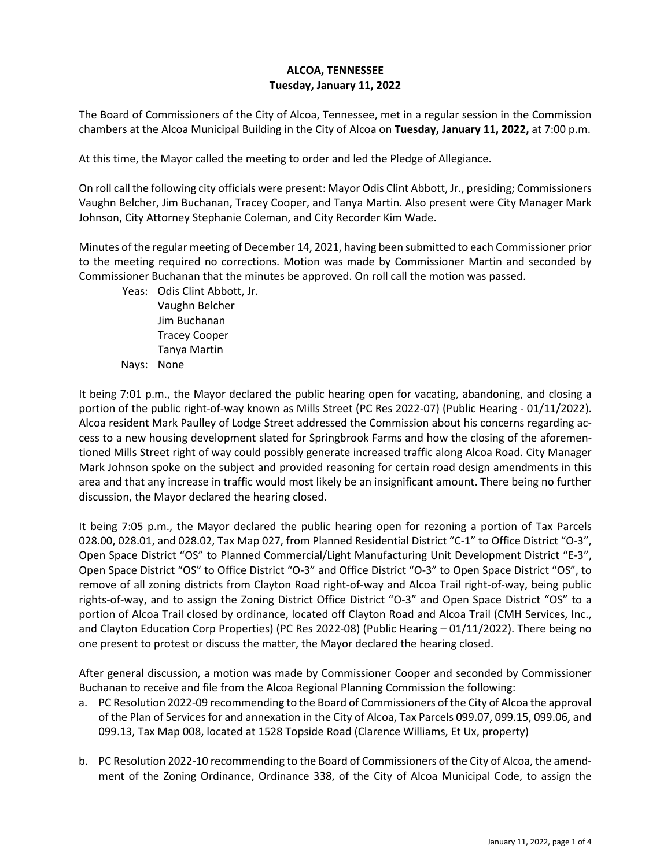## **ALCOA, TENNESSEE Tuesday, January 11, 2022**

The Board of Commissioners of the City of Alcoa, Tennessee, met in a regular session in the Commission chambers at the Alcoa Municipal Building in the City of Alcoa on **Tuesday, January 11, 2022,** at 7:00 p.m.

At this time, the Mayor called the meeting to order and led the Pledge of Allegiance.

On roll call the following city officials were present: Mayor Odis Clint Abbott, Jr., presiding; Commissioners Vaughn Belcher, Jim Buchanan, Tracey Cooper, and Tanya Martin. Also present were City Manager Mark Johnson, City Attorney Stephanie Coleman, and City Recorder Kim Wade.

Minutes of the regular meeting of December 14, 2021, having been submitted to each Commissioner prior to the meeting required no corrections. Motion was made by Commissioner Martin and seconded by Commissioner Buchanan that the minutes be approved. On roll call the motion was passed.

Yeas: Odis Clint Abbott, Jr. Vaughn Belcher

Jim Buchanan Tracey Cooper Tanya Martin Nays: None

It being 7:01 p.m., the Mayor declared the public hearing open for vacating, abandoning, and closing a portion of the public right-of-way known as Mills Street (PC Res 2022-07) (Public Hearing - 01/11/2022). Alcoa resident Mark Paulley of Lodge Street addressed the Commission about his concerns regarding access to a new housing development slated for Springbrook Farms and how the closing of the aforementioned Mills Street right of way could possibly generate increased traffic along Alcoa Road. City Manager Mark Johnson spoke on the subject and provided reasoning for certain road design amendments in this area and that any increase in traffic would most likely be an insignificant amount. There being no further discussion, the Mayor declared the hearing closed.

It being 7:05 p.m., the Mayor declared the public hearing open for rezoning a portion of Tax Parcels 028.00, 028.01, and 028.02, Tax Map 027, from Planned Residential District "C-1" to Office District "O-3", Open Space District "OS" to Planned Commercial/Light Manufacturing Unit Development District "E-3", Open Space District "OS" to Office District "O-3" and Office District "O-3" to Open Space District "OS", to remove of all zoning districts from Clayton Road right-of-way and Alcoa Trail right-of-way, being public rights-of-way, and to assign the Zoning District Office District "O-3" and Open Space District "OS" to a portion of Alcoa Trail closed by ordinance, located off Clayton Road and Alcoa Trail (CMH Services, Inc., and Clayton Education Corp Properties) (PC Res 2022-08) (Public Hearing – 01/11/2022). There being no one present to protest or discuss the matter, the Mayor declared the hearing closed.

After general discussion, a motion was made by Commissioner Cooper and seconded by Commissioner Buchanan to receive and file from the Alcoa Regional Planning Commission the following:

- a. PC Resolution 2022-09 recommending to the Board of Commissioners of the City of Alcoa the approval of the Plan of Services for and annexation in the City of Alcoa, Tax Parcels 099.07, 099.15, 099.06, and 099.13, Tax Map 008, located at 1528 Topside Road (Clarence Williams, Et Ux, property)
- b. PC Resolution 2022-10 recommending to the Board of Commissioners of the City of Alcoa, the amendment of the Zoning Ordinance, Ordinance 338, of the City of Alcoa Municipal Code, to assign the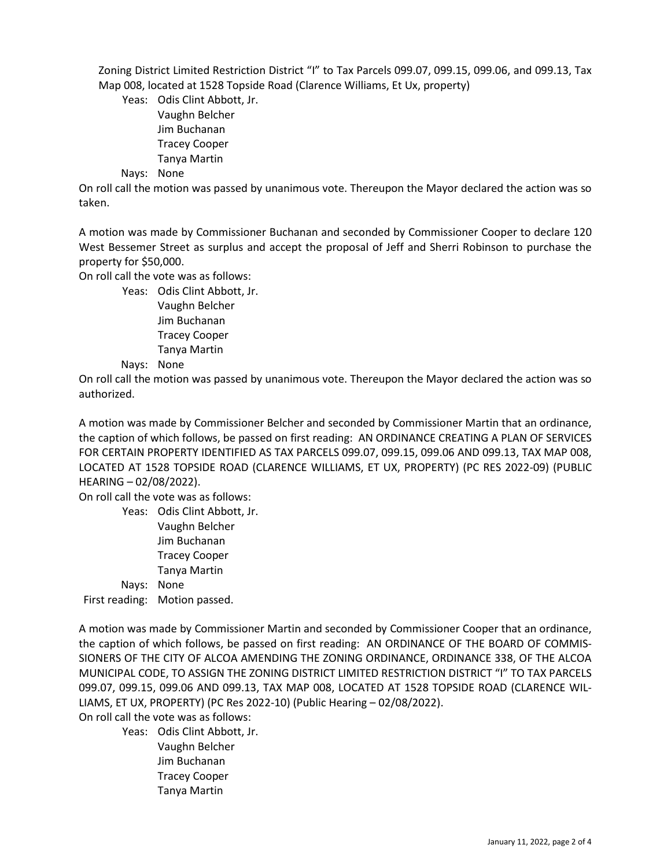Zoning District Limited Restriction District "I" to Tax Parcels 099.07, 099.15, 099.06, and 099.13, Tax Map 008, located at 1528 Topside Road (Clarence Williams, Et Ux, property)

Yeas: Odis Clint Abbott, Jr. Vaughn Belcher Jim Buchanan Tracey Cooper Tanya Martin

Nays: None

On roll call the motion was passed by unanimous vote. Thereupon the Mayor declared the action was so taken.

A motion was made by Commissioner Buchanan and seconded by Commissioner Cooper to declare 120 West Bessemer Street as surplus and accept the proposal of Jeff and Sherri Robinson to purchase the property for \$50,000.

On roll call the vote was as follows:

Yeas: Odis Clint Abbott, Jr.

Vaughn Belcher Jim Buchanan Tracey Cooper Tanya Martin

Nays: None

On roll call the motion was passed by unanimous vote. Thereupon the Mayor declared the action was so authorized.

A motion was made by Commissioner Belcher and seconded by Commissioner Martin that an ordinance, the caption of which follows, be passed on first reading: AN ORDINANCE CREATING A PLAN OF SERVICES FOR CERTAIN PROPERTY IDENTIFIED AS TAX PARCELS 099.07, 099.15, 099.06 AND 099.13, TAX MAP 008, LOCATED AT 1528 TOPSIDE ROAD (CLARENCE WILLIAMS, ET UX, PROPERTY) (PC RES 2022-09) (PUBLIC HEARING – 02/08/2022).

On roll call the vote was as follows:

Yeas: Odis Clint Abbott, Jr. Vaughn Belcher Jim Buchanan Tracey Cooper Tanya Martin Nays: None

First reading: Motion passed.

A motion was made by Commissioner Martin and seconded by Commissioner Cooper that an ordinance, the caption of which follows, be passed on first reading: AN ORDINANCE OF THE BOARD OF COMMIS-SIONERS OF THE CITY OF ALCOA AMENDING THE ZONING ORDINANCE, ORDINANCE 338, OF THE ALCOA MUNICIPAL CODE, TO ASSIGN THE ZONING DISTRICT LIMITED RESTRICTION DISTRICT "I" TO TAX PARCELS 099.07, 099.15, 099.06 AND 099.13, TAX MAP 008, LOCATED AT 1528 TOPSIDE ROAD (CLARENCE WIL-LIAMS, ET UX, PROPERTY) (PC Res 2022-10) (Public Hearing – 02/08/2022).

On roll call the vote was as follows:

Yeas: Odis Clint Abbott, Jr. Vaughn Belcher Jim Buchanan Tracey Cooper Tanya Martin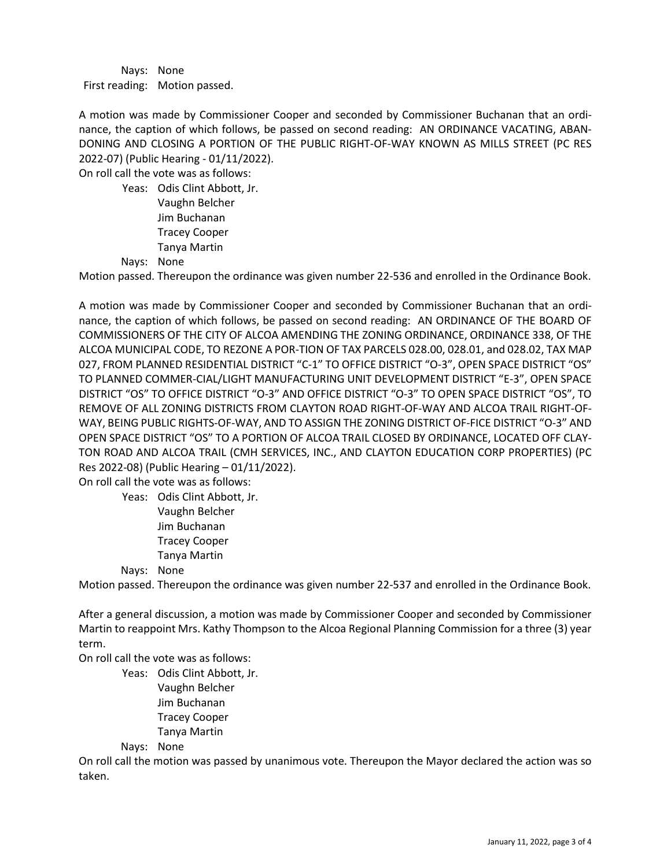Nays: None First reading: Motion passed.

A motion was made by Commissioner Cooper and seconded by Commissioner Buchanan that an ordinance, the caption of which follows, be passed on second reading: AN ORDINANCE VACATING, ABAN-DONING AND CLOSING A PORTION OF THE PUBLIC RIGHT-OF-WAY KNOWN AS MILLS STREET (PC RES 2022-07) (Public Hearing - 01/11/2022).

On roll call the vote was as follows:

Yeas: Odis Clint Abbott, Jr. Vaughn Belcher Jim Buchanan Tracey Cooper Tanya Martin Nays: None

Motion passed. Thereupon the ordinance was given number 22-536 and enrolled in the Ordinance Book.

A motion was made by Commissioner Cooper and seconded by Commissioner Buchanan that an ordinance, the caption of which follows, be passed on second reading: AN ORDINANCE OF THE BOARD OF COMMISSIONERS OF THE CITY OF ALCOA AMENDING THE ZONING ORDINANCE, ORDINANCE 338, OF THE ALCOA MUNICIPAL CODE, TO REZONE A POR-TION OF TAX PARCELS 028.00, 028.01, and 028.02, TAX MAP 027, FROM PLANNED RESIDENTIAL DISTRICT "C-1" TO OFFICE DISTRICT "O-3", OPEN SPACE DISTRICT "OS" TO PLANNED COMMER-CIAL/LIGHT MANUFACTURING UNIT DEVELOPMENT DISTRICT "E-3", OPEN SPACE DISTRICT "OS" TO OFFICE DISTRICT "O-3" AND OFFICE DISTRICT "O-3" TO OPEN SPACE DISTRICT "OS", TO REMOVE OF ALL ZONING DISTRICTS FROM CLAYTON ROAD RIGHT-OF-WAY AND ALCOA TRAIL RIGHT-OF-WAY, BEING PUBLIC RIGHTS-OF-WAY, AND TO ASSIGN THE ZONING DISTRICT OF-FICE DISTRICT "O-3" AND OPEN SPACE DISTRICT "OS" TO A PORTION OF ALCOA TRAIL CLOSED BY ORDINANCE, LOCATED OFF CLAY-TON ROAD AND ALCOA TRAIL (CMH SERVICES, INC., AND CLAYTON EDUCATION CORP PROPERTIES) (PC Res 2022-08) (Public Hearing – 01/11/2022).

On roll call the vote was as follows:

Yeas: Odis Clint Abbott, Jr. Vaughn Belcher Jim Buchanan Tracey Cooper

Tanya Martin

Nays: None

Motion passed. Thereupon the ordinance was given number 22-537 and enrolled in the Ordinance Book.

After a general discussion, a motion was made by Commissioner Cooper and seconded by Commissioner Martin to reappoint Mrs. Kathy Thompson to the Alcoa Regional Planning Commission for a three (3) year term.

On roll call the vote was as follows:

Yeas: Odis Clint Abbott, Jr. Vaughn Belcher Jim Buchanan Tracey Cooper Tanya Martin

Nays: None

On roll call the motion was passed by unanimous vote. Thereupon the Mayor declared the action was so taken.